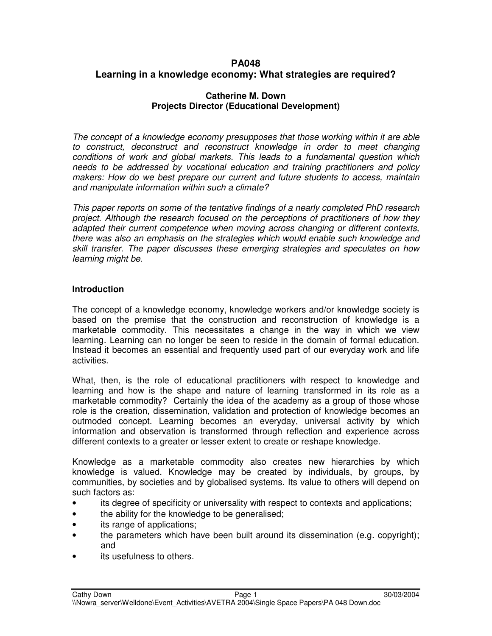# **PA048 Learning in a knowledge economy: What strategies are required?**

### **Catherine M. Down Projects Director (Educational Development)**

*The concept of a knowledge economy presupposes that those working within it are able to construct, deconstruct and reconstruct knowledge in order to meet changing conditions of work and global markets. This leads to a fundamental question which needs to be addressed by vocational education and training practitioners and policy makers: How do we best prepare our current and future students to access, maintain and manipulate information within such a climate?*

*This paper reports on some of the tentative findings of a nearly completed PhD research project. Although the research focused on the perceptions of practitioners of how they adapted their current competence when moving across changing or different contexts, there was also an emphasis on the strategies which would enable such knowledge and skill transfer. The paper discusses these emerging strategies and speculates on how learning might be.*

## **Introduction**

The concept of a knowledge economy, knowledge workers and/or knowledge society is based on the premise that the construction and reconstruction of knowledge is a marketable commodity. This necessitates a change in the way in which we view learning. Learning can no longer be seen to reside in the domain of formal education. Instead it becomes an essential and frequently used part of our everyday work and life activities.

What, then, is the role of educational practitioners with respect to knowledge and learning and how is the shape and nature of learning transformed in its role as a marketable commodity? Certainly the idea of the academy as a group of those whose role is the creation, dissemination, validation and protection of knowledge becomes an outmoded concept. Learning becomes an everyday, universal activity by which information and observation is transformed through reflection and experience across different contexts to a greater or lesser extent to create or reshape knowledge.

Knowledge as a marketable commodity also creates new hierarchies by which knowledge is valued. Knowledge may be created by individuals, by groups, by communities, by societies and by globalised systems. Its value to others will depend on such factors as:

- its degree of specificity or universality with respect to contexts and applications;
- the ability for the knowledge to be generalised;
- its range of applications;
- the parameters which have been built around its dissemination (e.g. copyright); and
- its usefulness to others.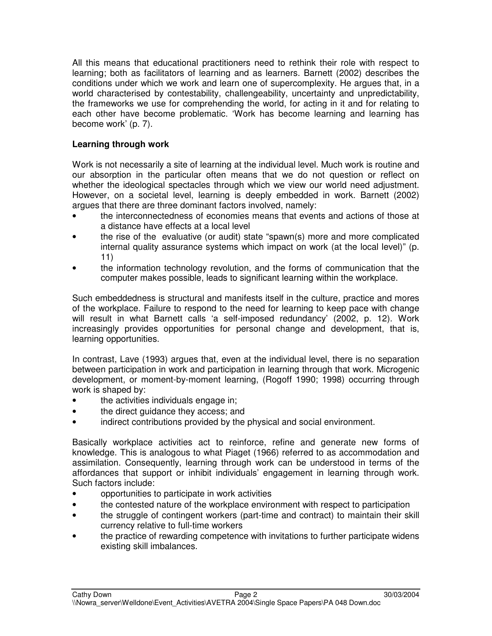All this means that educational practitioners need to rethink their role with respect to learning; both as facilitators of learning and as learners. Barnett (2002) describes the conditions under which we work and learn one of supercomplexity. He argues that, in a world characterised by contestability, challengeability, uncertainty and unpredictability, the frameworks we use for comprehending the world, for acting in it and for relating to each other have become problematic. 'Work has become learning and learning has become work' (p. 7).

# **Learning through work**

Work is not necessarily a site of learning at the individual level. Much work is routine and our absorption in the particular often means that we do not question or reflect on whether the ideological spectacles through which we view our world need adjustment. However, on a societal level, learning is deeply embedded in work. Barnett (2002) argues that there are three dominant factors involved, namely:

- the interconnectedness of economies means that events and actions of those at a distance have effects at a local level
- the rise of the evaluative (or audit) state "spawn(s) more and more complicated internal quality assurance systems which impact on work (at the local level)" (p. 11)
- the information technology revolution, and the forms of communication that the computer makes possible, leads to significant learning within the workplace.

Such embeddedness is structural and manifests itself in the culture, practice and mores of the workplace. Failure to respond to the need for learning to keep pace with change will result in what Barnett calls 'a self-imposed redundancy' (2002, p. 12). Work increasingly provides opportunities for personal change and development, that is, learning opportunities.

In contrast, Lave (1993) argues that, even at the individual level, there is no separation between participation in work and participation in learning through that work. Microgenic development, or moment-by-moment learning, (Rogoff 1990; 1998) occurring through work is shaped by:

- the activities individuals engage in;
- the direct guidance they access; and
- indirect contributions provided by the physical and social environment.

Basically workplace activities act to reinforce, refine and generate new forms of knowledge. This is analogous to what Piaget (1966) referred to as accommodation and assimilation. Consequently, learning through work can be understood in terms of the affordances that support or inhibit individuals' engagement in learning through work. Such factors include:

- opportunities to participate in work activities
- the contested nature of the workplace environment with respect to participation
- the struggle of contingent workers (part-time and contract) to maintain their skill currency relative to full-time workers
- the practice of rewarding competence with invitations to further participate widens existing skill imbalances.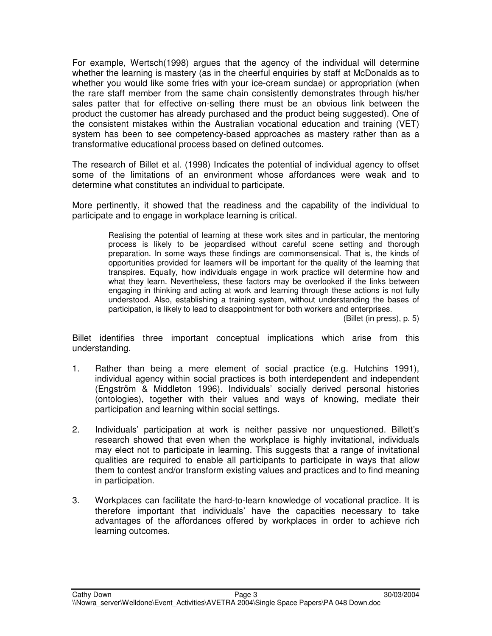For example, Wertsch(1998) argues that the agency of the individual will determine whether the learning is mastery (as in the cheerful enquiries by staff at McDonalds as to whether you would like some fries with your ice-cream sundae) or appropriation (when the rare staff member from the same chain consistently demonstrates through his/her sales patter that for effective on-selling there must be an obvious link between the product the customer has already purchased and the product being suggested). One of the consistent mistakes within the Australian vocational education and training (VET) system has been to see competency-based approaches as mastery rather than as a transformative educational process based on defined outcomes.

The research of Billet et al. (1998) Indicates the potential of individual agency to offset some of the limitations of an environment whose affordances were weak and to determine what constitutes an individual to participate.

More pertinently, it showed that the readiness and the capability of the individual to participate and to engage in workplace learning is critical.

> Realising the potential of learning at these work sites and in particular, the mentoring process is likely to be jeopardised without careful scene setting and thorough preparation. In some ways these findings are commonsensical. That is, the kinds of opportunities provided for learners will be important for the quality of the learning that transpires. Equally, how individuals engage in work practice will determine how and what they learn. Nevertheless, these factors may be overlooked if the links between engaging in thinking and acting at work and learning through these actions is not fully understood. Also, establishing a training system, without understanding the bases of participation, is likely to lead to disappointment for both workers and enterprises.

(Billet (in press), p. 5)

Billet identifies three important conceptual implications which arise from this understanding.

- 1. Rather than being a mere element of social practice (e.g. Hutchins 1991), individual agency within social practices is both interdependent and independent (Engström & Middleton 1996). Individuals' socially derived personal histories (ontologies), together with their values and ways of knowing, mediate their participation and learning within social settings.
- 2. Individuals' participation at work is neither passive nor unquestioned. Billett's research showed that even when the workplace is highly invitational, individuals may elect not to participate in learning. This suggests that a range of invitational qualities are required to enable all participants to participate in ways that allow them to contest and/or transform existing values and practices and to find meaning in participation.
- 3. Workplaces can facilitate the hard-to-learn knowledge of vocational practice. It is therefore important that individuals' have the capacities necessary to take advantages of the affordances offered by workplaces in order to achieve rich learning outcomes.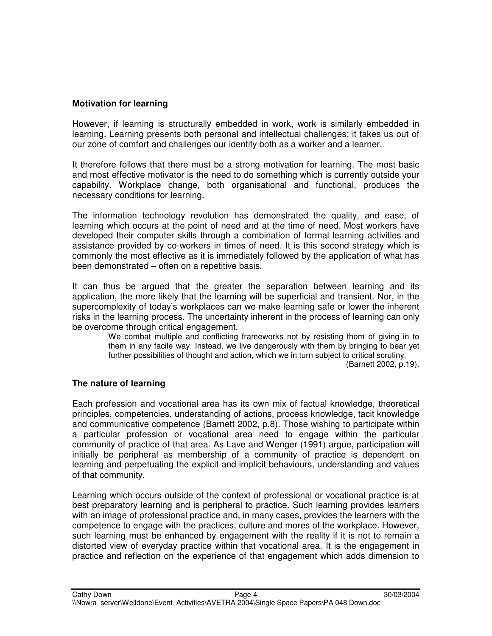## **Motivation for learning**

However, if learning is structurally embedded in work, work is similarly embedded in learning. Learning presents both personal and intellectual challenges; it takes us out of our zone of comfort and challenges our identity both as a worker and a learner.

It therefore follows that there must be a strong motivation for learning. The most basic and most effective motivator is the need to do something which is currently outside your capability. Workplace change, both organisational and functional, produces the necessary conditions for learning.

The information technology revolution has demonstrated the quality, and ease, of learning which occurs at the point of need and at the time of need. Most workers have developed their computer skills through a combination of formal learning activities and assistance provided by co-workers in times of need. It is this second strategy which is commonly the most effective as it is immediately followed by the application of what has been demonstrated – often on a repetitive basis.

It can thus be argued that the greater the separation between learning and its application, the more likely that the learning will be superficial and transient. Nor, in the supercomplexity of today's workplaces can we make learning safe or lower the inherent risks in the learning process. The uncertainty inherent in the process of learning can only be overcome through critical engagement.

We combat multiple and conflicting frameworks not by resisting them of giving in to them in any facile way. Instead, we live dangerously with them by bringing to bear yet further possibilities of thought and action, which we in turn subject to critical scrutiny.

(Barnett 2002, p.19).

### **The nature of learning**

Each profession and vocational area has its own mix of factual knowledge, theoretical principles, competencies, understanding of actions, process knowledge, tacit knowledge and communicative competence (Barnett 2002, p.8). Those wishing to participate within a particular profession or vocational area need to engage within the particular community of practice of that area. As Lave and Wenger (1991) argue, participation will initially be peripheral as membership of a community of practice is dependent on learning and perpetuating the explicit and implicit behaviours, understanding and values of that community.

Learning which occurs outside of the context of professional or vocational practice is at best preparatory learning and is peripheral to practice. Such learning provides learners with an image of professional practice and, in many cases, provides the learners with the competence to engage with the practices, culture and mores of the workplace. However, such learning must be enhanced by engagement with the reality if it is not to remain a distorted view of everyday practice within that vocational area. It is the engagement in practice and reflection on the experience of that engagement which adds dimension to